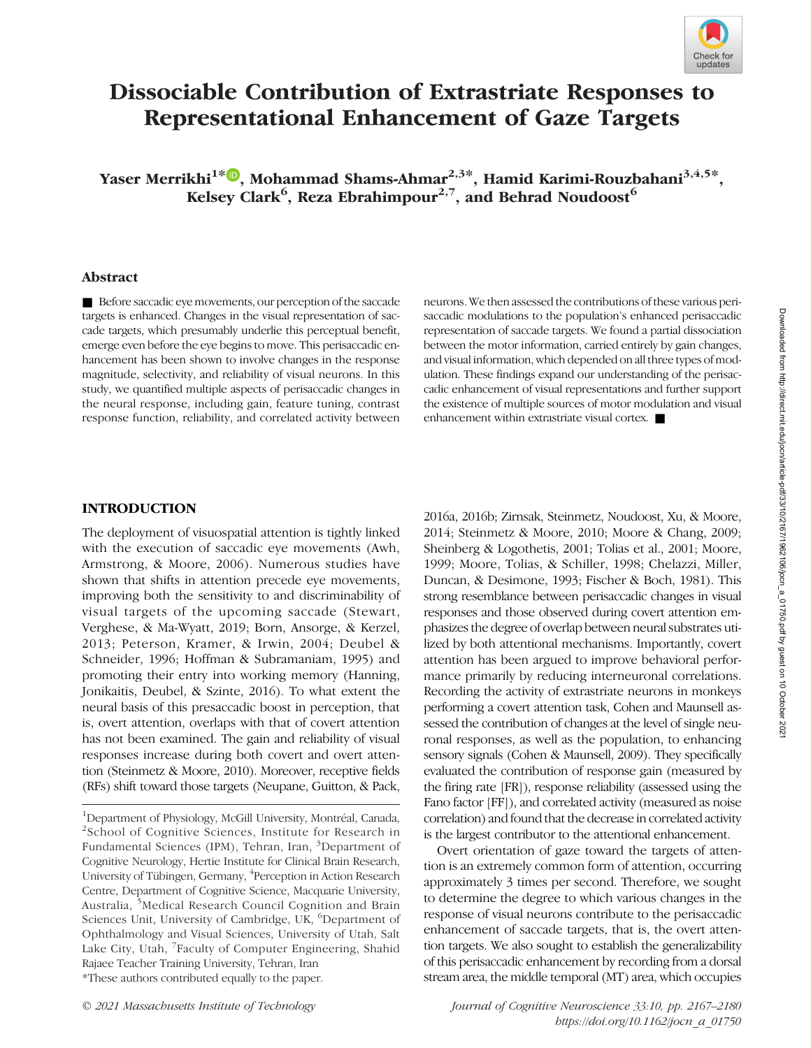

# Dissociable Contribution of Extrastriate Responses to Representational Enhancement of Gaze Targets

Yaser Merrikhi<sup>1\*</sup><sup>0</sup>, Mohammad Shams-Ahmar<sup>2,3\*</sup>, Hamid Karimi-Rouzbahani<sup>3,4,5\*</sup>, Kelsey Clark<sup>6</sup>, Reza Ebrahimpour<sup>2,7</sup>, and Behrad Noudoost<sup>6</sup>

### Abstract

■ Before saccadic eye movements, our perception of the saccade targets is enhanced. Changes in the visual representation of saccade targets, which presumably underlie this perceptual benefit, emerge even before the eye begins to move. This perisaccadic enhancement has been shown to involve changes in the response magnitude, selectivity, and reliability of visual neurons. In this study, we quantified multiple aspects of perisaccadic changes in the neural response, including gain, feature tuning, contrast response function, reliability, and correlated activity between

neurons. We then assessed the contributions of these various perisaccadic modulations to the population's enhanced perisaccadic representation of saccade targets. We found a partial dissociation between the motor information, carried entirely by gain changes, and visual information, which depended on all three types of modulation. These findings expand our understanding of the perisaccadic enhancement of visual representations and further support the existence of multiple sources of motor modulation and visual enhancement within extrastriate visual cortex. ■

#### INTRODUCTION

The deployment of visuospatial attention is tightly linked with the execution of saccadic eye movements (Awh, Armstrong, & Moore, 2006). Numerous studies have shown that shifts in attention precede eye movements, improving both the sensitivity to and discriminability of visual targets of the upcoming saccade (Stewart, Verghese, & Ma-Wyatt, 2019; Born, Ansorge, & Kerzel, 2013; Peterson, Kramer, & Irwin, 2004; Deubel & Schneider, 1996; Hoffman & Subramaniam, 1995) and promoting their entry into working memory (Hanning, Jonikaitis, Deubel, & Szinte, 2016). To what extent the neural basis of this presaccadic boost in perception, that is, overt attention, overlaps with that of covert attention has not been examined. The gain and reliability of visual responses increase during both covert and overt attention (Steinmetz & Moore, 2010). Moreover, receptive fields (RFs) shift toward those targets (Neupane, Guitton, & Pack,

1 Department of Physiology, McGill University, Montréal, Canada, 2 School of Cognitive Sciences, Institute for Research in Fundamental Sciences (IPM), Tehran, Iran, <sup>3</sup>Department of Cognitive Neurology, Hertie Institute for Clinical Brain Research, University of Tübingen, Germany, <sup>4</sup>Perception in Action Research Centre, Department of Cognitive Science, Macquarie University, Australia, <sup>5</sup>Medical Research Council Cognition and Brain Sciences Unit, University of Cambridge, UK, <sup>6</sup>Department of Ophthalmology and Visual Sciences, University of Utah, Salt Lake City, Utah, <sup>7</sup>Faculty of Computer Engineering, Shahid Rajaee Teacher Training University, Tehran, Iran \*These authors contributed equally to the paper.

2016a, 2016b; Zirnsak, Steinmetz, Noudoost, Xu, & Moore, 2014; Steinmetz & Moore, 2010; Moore & Chang, 2009; Sheinberg & Logothetis, 2001; Tolias et al., 2001; Moore, 1999; Moore, Tolias, & Schiller, 1998; Chelazzi, Miller, Duncan, & Desimone, 1993; Fischer & Boch, 1981). This strong resemblance between perisaccadic changes in visual responses and those observed during covert attention emphasizes the degree of overlap between neural substrates utilized by both attentional mechanisms. Importantly, covert attention has been argued to improve behavioral performance primarily by reducing interneuronal correlations. Recording the activity of extrastriate neurons in monkeys performing a covert attention task, Cohen and Maunsell assessed the contribution of changes at the level of single neuronal responses, as well as the population, to enhancing sensory signals (Cohen & Maunsell, 2009). They specifically evaluated the contribution of response gain (measured by the firing rate [FR]), response reliability (assessed using the Fano factor [FF]), and correlated activity (measured as noise correlation) and found that the decrease in correlated activity is the largest contributor to the attentional enhancement.

Overt orientation of gaze toward the targets of attention is an extremely common form of attention, occurring approximately 3 times per second. Therefore, we sought to determine the degree to which various changes in the response of visual neurons contribute to the perisaccadic enhancement of saccade targets, that is, the overt attention targets. We also sought to establish the generalizability of this perisaccadic enhancement by recording from a dorsal stream area, the middle temporal (MT) area, which occupies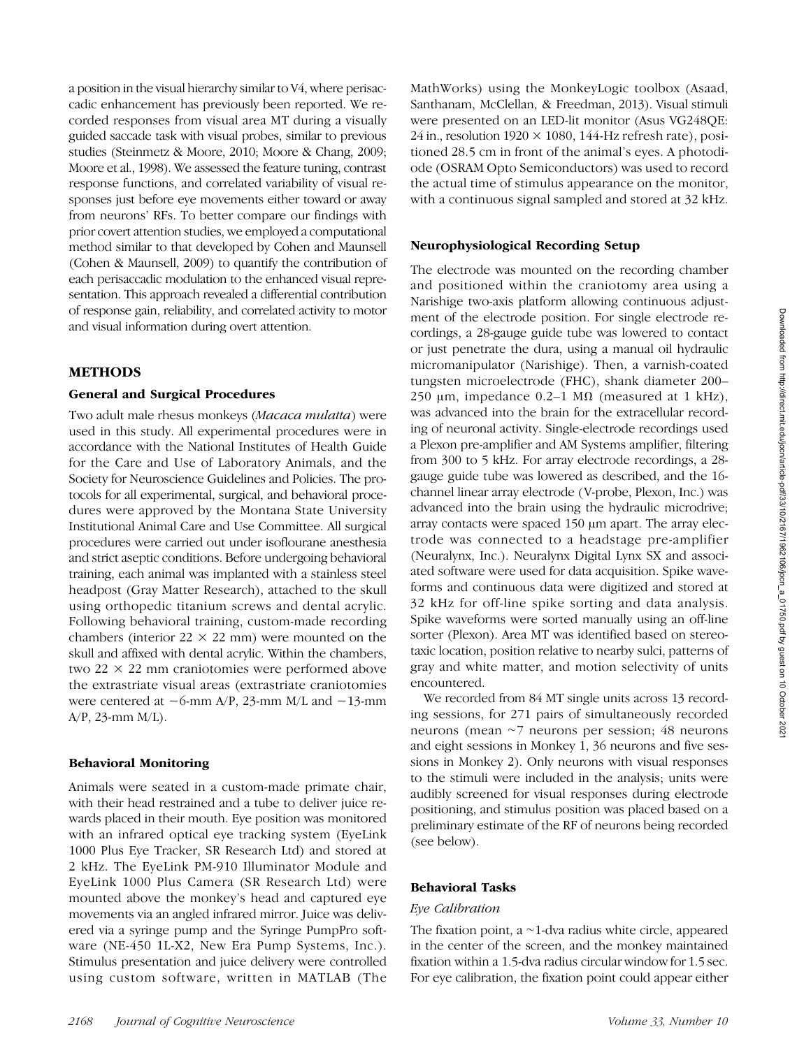a position in the visual hierarchy similar to V4, where perisaccadic enhancement has previously been reported. We recorded responses from visual area MT during a visually guided saccade task with visual probes, similar to previous studies (Steinmetz & Moore, 2010; Moore & Chang, 2009; Moore et al., 1998). We assessed the feature tuning, contrast response functions, and correlated variability of visual responses just before eye movements either toward or away from neurons' RFs. To better compare our findings with prior covert attention studies, we employed a computational method similar to that developed by Cohen and Maunsell (Cohen & Maunsell, 2009) to quantify the contribution of each perisaccadic modulation to the enhanced visual representation. This approach revealed a differential contribution of response gain, reliability, and correlated activity to motor and visual information during overt attention.

## METHODS

#### General and Surgical Procedures

Two adult male rhesus monkeys (Macaca mulatta) were used in this study. All experimental procedures were in accordance with the National Institutes of Health Guide for the Care and Use of Laboratory Animals, and the Society for Neuroscience Guidelines and Policies. The protocols for all experimental, surgical, and behavioral procedures were approved by the Montana State University Institutional Animal Care and Use Committee. All surgical procedures were carried out under isoflourane anesthesia and strict aseptic conditions. Before undergoing behavioral training, each animal was implanted with a stainless steel headpost (Gray Matter Research), attached to the skull using orthopedic titanium screws and dental acrylic. Following behavioral training, custom-made recording chambers (interior  $22 \times 22$  mm) were mounted on the skull and affixed with dental acrylic. Within the chambers, two  $22 \times 22$  mm craniotomies were performed above the extrastriate visual areas (extrastriate craniotomies were centered at −6-mm A/P, 23-mm M/L and −13-mm A/P, 23-mm M/L).

#### Behavioral Monitoring

Animals were seated in a custom-made primate chair, with their head restrained and a tube to deliver juice rewards placed in their mouth. Eye position was monitored with an infrared optical eye tracking system (EyeLink 1000 Plus Eye Tracker, SR Research Ltd) and stored at 2 kHz. The EyeLink PM-910 Illuminator Module and EyeLink 1000 Plus Camera (SR Research Ltd) were mounted above the monkey's head and captured eye movements via an angled infrared mirror. Juice was delivered via a syringe pump and the Syringe PumpPro software (NE-450 1L-X2, New Era Pump Systems, Inc.). Stimulus presentation and juice delivery were controlled using custom software, written in MATLAB (The MathWorks) using the MonkeyLogic toolbox (Asaad, Santhanam, McClellan, & Freedman, 2013). Visual stimuli were presented on an LED-lit monitor (Asus VG248QE: 24 in., resolution  $1920 \times 1080$ ,  $144$ -Hz refresh rate), positioned 28.5 cm in front of the animal's eyes. A photodiode (OSRAM Opto Semiconductors) was used to record the actual time of stimulus appearance on the monitor, with a continuous signal sampled and stored at 32 kHz.

#### Neurophysiological Recording Setup

The electrode was mounted on the recording chamber and positioned within the craniotomy area using a Narishige two-axis platform allowing continuous adjustment of the electrode position. For single electrode recordings, a 28-gauge guide tube was lowered to contact or just penetrate the dura, using a manual oil hydraulic micromanipulator (Narishige). Then, a varnish-coated tungsten microelectrode (FHC), shank diameter 200– 250 μm, impedance  $0.2-1$  MΩ (measured at 1 kHz), was advanced into the brain for the extracellular recording of neuronal activity. Single-electrode recordings used a Plexon pre-amplifier and AM Systems amplifier, filtering from 300 to 5 kHz. For array electrode recordings, a 28 gauge guide tube was lowered as described, and the 16 channel linear array electrode (V-probe, Plexon, Inc.) was advanced into the brain using the hydraulic microdrive; array contacts were spaced 150 μm apart. The array electrode was connected to a headstage pre-amplifier (Neuralynx, Inc.). Neuralynx Digital Lynx SX and associated software were used for data acquisition. Spike waveforms and continuous data were digitized and stored at 32 kHz for off-line spike sorting and data analysis. Spike waveforms were sorted manually using an off-line sorter (Plexon). Area MT was identified based on stereotaxic location, position relative to nearby sulci, patterns of gray and white matter, and motion selectivity of units encountered.

We recorded from 84 MT single units across 13 recording sessions, for 271 pairs of simultaneously recorded neurons (mean ∼7 neurons per session; 48 neurons and eight sessions in Monkey 1, 36 neurons and five sessions in Monkey 2). Only neurons with visual responses to the stimuli were included in the analysis; units were audibly screened for visual responses during electrode positioning, and stimulus position was placed based on a preliminary estimate of the RF of neurons being recorded (see below).

## Behavioral Tasks

#### Eye Calibration

The fixation point, a ∼1-dva radius white circle, appeared in the center of the screen, and the monkey maintained fixation within a 1.5-dva radius circular window for 1.5 sec. For eye calibration, the fixation point could appear either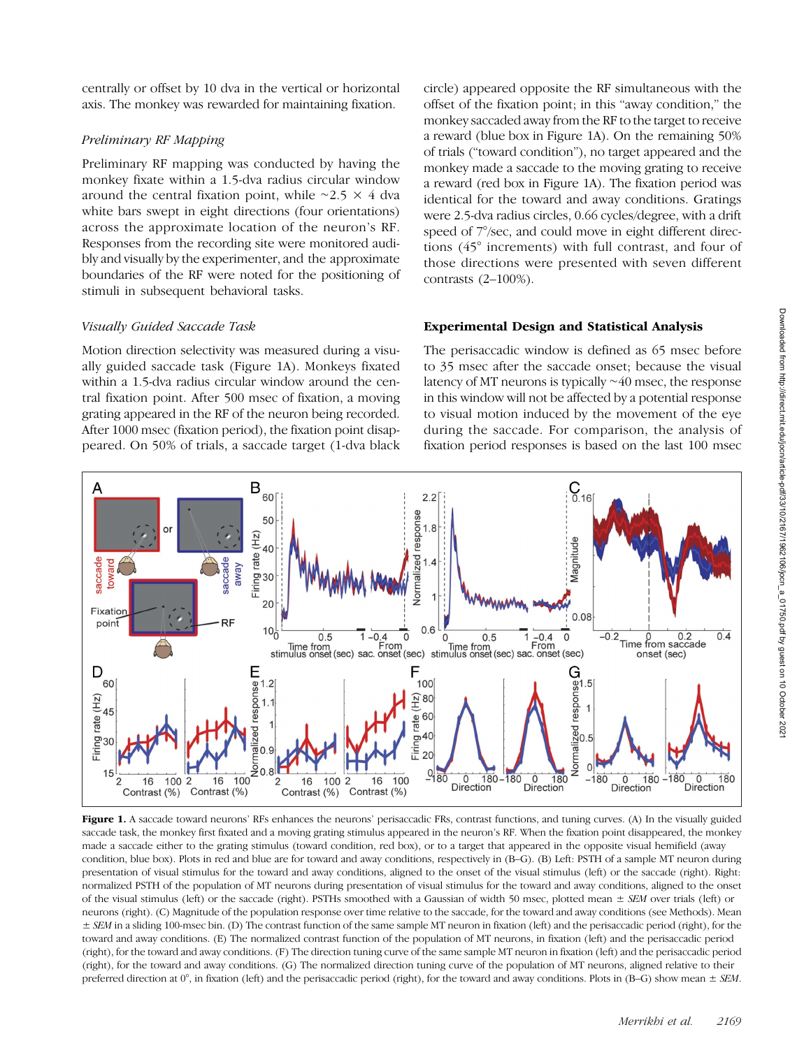centrally or offset by 10 dva in the vertical or horizontal axis. The monkey was rewarded for maintaining fixation.

## Preliminary RF Mapping

Preliminary RF mapping was conducted by having the monkey fixate within a 1.5-dva radius circular window around the central fixation point, while ∼2.5 × 4 dva white bars swept in eight directions (four orientations) across the approximate location of the neuron's RF. Responses from the recording site were monitored audibly and visually by the experimenter, and the approximate boundaries of the RF were noted for the positioning of stimuli in subsequent behavioral tasks.

## Visually Guided Saccade Task

Motion direction selectivity was measured during a visually guided saccade task (Figure 1A). Monkeys fixated within a 1.5-dva radius circular window around the central fixation point. After 500 msec of fixation, a moving grating appeared in the RF of the neuron being recorded. After 1000 msec (fixation period), the fixation point disappeared. On 50% of trials, a saccade target (1-dva black

circle) appeared opposite the RF simultaneous with the offset of the fixation point; in this "away condition," the monkey saccaded away from the RF to the target to receive a reward (blue box in Figure 1A). On the remaining 50% of trials ("toward condition"), no target appeared and the monkey made a saccade to the moving grating to receive a reward (red box in Figure 1A). The fixation period was identical for the toward and away conditions. Gratings were 2.5-dva radius circles, 0.66 cycles/degree, with a drift speed of  $7^{\circ}/sec$ , and could move in eight different directions (45° increments) with full contrast, and four of those directions were presented with seven different contrasts (2–100%).

## Experimental Design and Statistical Analysis

The perisaccadic window is defined as 65 msec before to 35 msec after the saccade onset; because the visual latency of MT neurons is typically ∼40 msec, the response in this window will not be affected by a potential response to visual motion induced by the movement of the eye during the saccade. For comparison, the analysis of fixation period responses is based on the last 100 msec



Figure 1. A saccade toward neurons' RFs enhances the neurons' perisaccadic FRs, contrast functions, and tuning curves. (A) In the visually guided saccade task, the monkey first fixated and a moving grating stimulus appeared in the neuron's RF. When the fixation point disappeared, the monkey made a saccade either to the grating stimulus (toward condition, red box), or to a target that appeared in the opposite visual hemifield (away condition, blue box). Plots in red and blue are for toward and away conditions, respectively in (B–G). (B) Left: PSTH of a sample MT neuron during presentation of visual stimulus for the toward and away conditions, aligned to the onset of the visual stimulus (left) or the saccade (right). Right: normalized PSTH of the population of MT neurons during presentation of visual stimulus for the toward and away conditions, aligned to the onset of the visual stimulus (left) or the saccade (right). PSTHs smoothed with a Gaussian of width 50 msec, plotted mean  $\pm$  SEM over trials (left) or neurons (right). (C) Magnitude of the population response over time relative to the saccade, for the toward and away conditions (see Methods). Mean  $\pm$  SEM in a sliding 100-msec bin. (D) The contrast function of the same sample MT neuron in fixation (left) and the perisaccadic period (right), for the toward and away conditions. (E) The normalized contrast function of the population of MT neurons, in fixation (left) and the perisaccadic period (right), for the toward and away conditions. (F) The direction tuning curve of the same sample MT neuron in fixation (left) and the perisaccadic period (right), for the toward and away conditions. (G) The normalized direction tuning curve of the population of MT neurons, aligned relative to their preferred direction at  $0^\circ$ , in fixation (left) and the perisaccadic period (right), for the toward and away conditions. Plots in (B–G) show mean  $\pm$  SEM.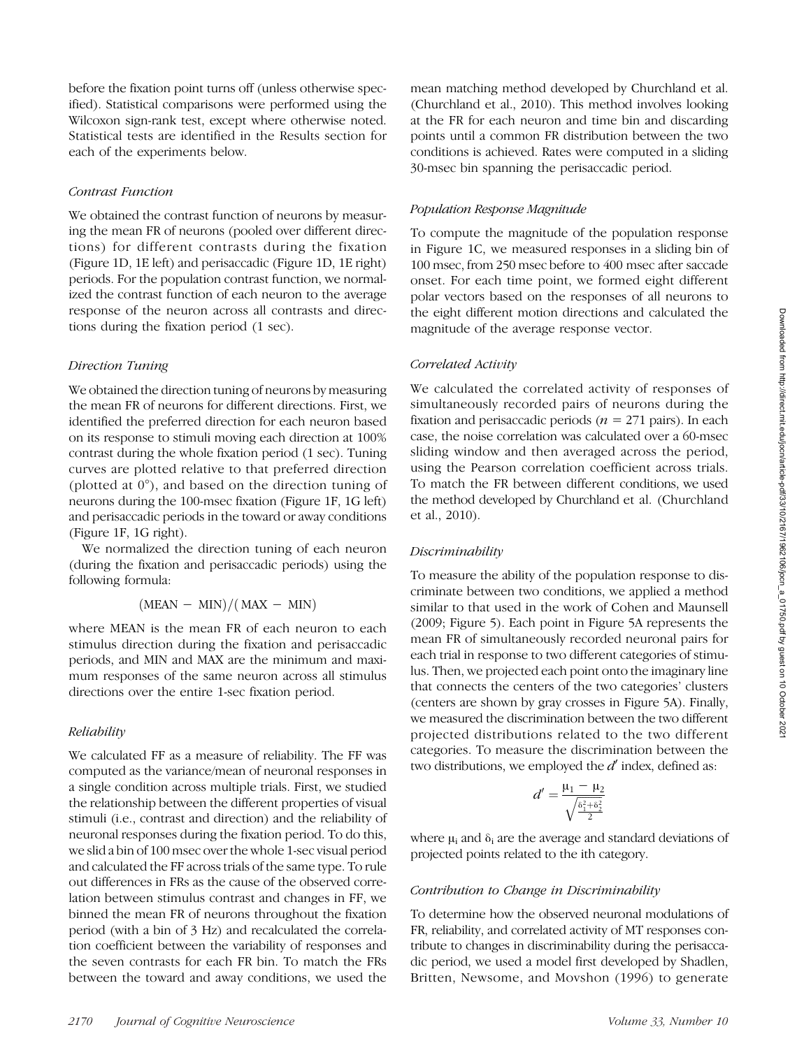before the fixation point turns off (unless otherwise specified). Statistical comparisons were performed using the Wilcoxon sign-rank test, except where otherwise noted. Statistical tests are identified in the Results section for each of the experiments below.

#### Contrast Function

We obtained the contrast function of neurons by measuring the mean FR of neurons (pooled over different directions) for different contrasts during the fixation (Figure 1D, 1E left) and perisaccadic (Figure 1D, 1E right) periods. For the population contrast function, we normalized the contrast function of each neuron to the average response of the neuron across all contrasts and directions during the fixation period (1 sec).

#### Direction Tuning

We obtained the direction tuning of neurons by measuring the mean FR of neurons for different directions. First, we identified the preferred direction for each neuron based on its response to stimuli moving each direction at 100% contrast during the whole fixation period (1 sec). Tuning curves are plotted relative to that preferred direction (plotted at 0°), and based on the direction tuning of neurons during the 100-msec fixation (Figure 1F, 1G left) and perisaccadic periods in the toward or away conditions (Figure 1F, 1G right).

We normalized the direction tuning of each neuron (during the fixation and perisaccadic periods) using the following formula:

$$
(MEAN - MIN)/(MAX - MIN)
$$

where MEAN is the mean FR of each neuron to each stimulus direction during the fixation and perisaccadic periods, and MIN and MAX are the minimum and maximum responses of the same neuron across all stimulus directions over the entire 1-sec fixation period.

#### Reliability

We calculated FF as a measure of reliability. The FF was computed as the variance/mean of neuronal responses in a single condition across multiple trials. First, we studied the relationship between the different properties of visual stimuli (i.e., contrast and direction) and the reliability of neuronal responses during the fixation period. To do this, we slid a bin of 100 msec over the whole 1-sec visual period and calculated the FF across trials of the same type. To rule out differences in FRs as the cause of the observed correlation between stimulus contrast and changes in FF, we binned the mean FR of neurons throughout the fixation period (with a bin of 3 Hz) and recalculated the correlation coefficient between the variability of responses and the seven contrasts for each FR bin. To match the FRs between the toward and away conditions, we used the

mean matching method developed by Churchland et al. (Churchland et al., 2010). This method involves looking at the FR for each neuron and time bin and discarding points until a common FR distribution between the two conditions is achieved. Rates were computed in a sliding 30-msec bin spanning the perisaccadic period.

#### Population Response Magnitude

To compute the magnitude of the population response in Figure 1C, we measured responses in a sliding bin of 100 msec, from 250 msec before to 400 msec after saccade onset. For each time point, we formed eight different polar vectors based on the responses of all neurons to the eight different motion directions and calculated the magnitude of the average response vector.

#### Correlated Activity

We calculated the correlated activity of responses of simultaneously recorded pairs of neurons during the fixation and perisaccadic periods ( $n = 271$  pairs). In each case, the noise correlation was calculated over a 60-msec sliding window and then averaged across the period, using the Pearson correlation coefficient across trials. To match the FR between different conditions, we used the method developed by Churchland et al. (Churchland et al., 2010).

#### Discriminability

To measure the ability of the population response to discriminate between two conditions, we applied a method similar to that used in the work of Cohen and Maunsell (2009; Figure 5). Each point in Figure 5A represents the mean FR of simultaneously recorded neuronal pairs for each trial in response to two different categories of stimulus. Then, we projected each point onto the imaginary line that connects the centers of the two categories' clusters (centers are shown by gray crosses in Figure 5A). Finally, we measured the discrimination between the two different projected distributions related to the two different categories. To measure the discrimination between the two distributions, we employed the  $d'$  index, defined as:

$$
\mathcal{d}'=\frac{\mu_1-\mu_2}{\sqrt{\frac{\delta_1^2+\delta_2^2}{2}}}
$$

where  $\mu_i$  and  $\delta_i$  are the average and standard deviations of projected points related to the ith category.

#### Contribution to Change in Discriminability

To determine how the observed neuronal modulations of FR, reliability, and correlated activity of MT responses contribute to changes in discriminability during the perisaccadic period, we used a model first developed by Shadlen, Britten, Newsome, and Movshon (1996) to generate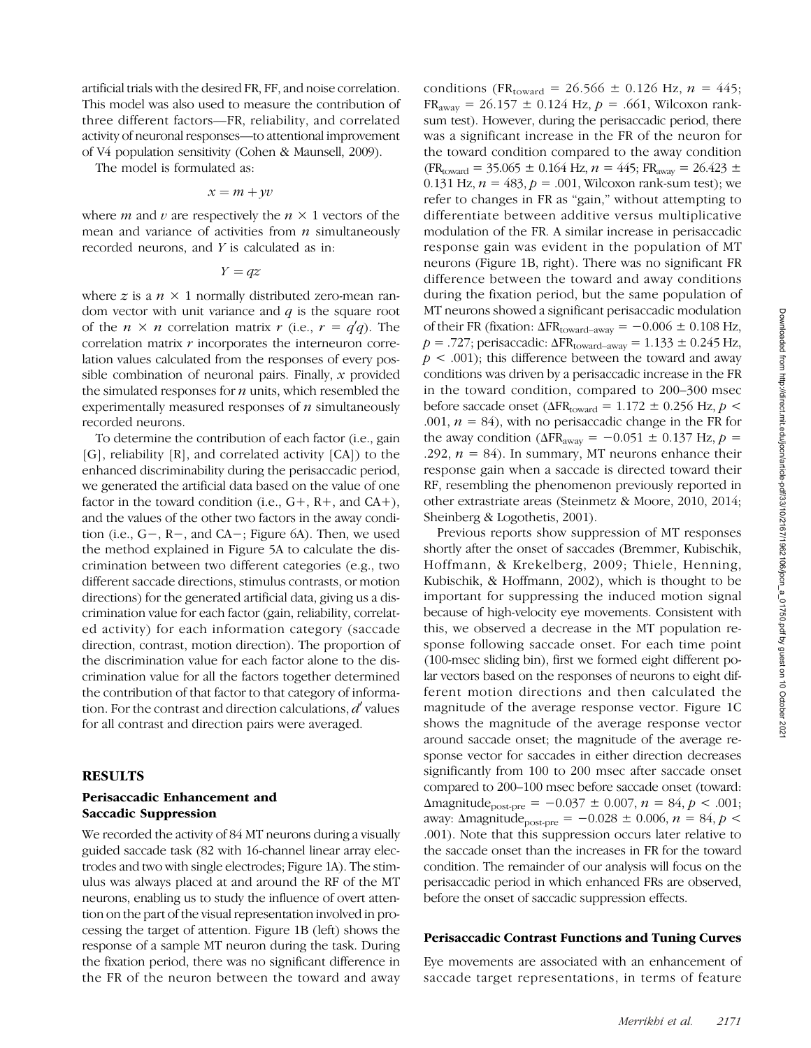artificial trials with the desired FR, FF, and noise correlation. This model was also used to measure the contribution of three different factors—FR, reliability, and correlated activity of neuronal responses—to attentional improvement of V4 population sensitivity (Cohen & Maunsell, 2009).

The model is formulated as:

$$
x = m + yv
$$

where *m* and *v* are respectively the  $n \times 1$  vectors of the mean and variance of activities from  $n$  simultaneously recorded neurons, and Y is calculated as in:

 $Y = qz$ 

where z is a  $n \times 1$  normally distributed zero-mean random vector with unit variance and  $q$  is the square root of the  $n \times n$  correlation matrix  $r$  (i.e.,  $r = q'q$ ). The correlation matrix  $r$  incorporates the interneuron correlation values calculated from the responses of every possible combination of neuronal pairs. Finally,  $x$  provided the simulated responses for  $n$  units, which resembled the experimentally measured responses of  $n$  simultaneously recorded neurons.

To determine the contribution of each factor (i.e., gain [G], reliability [R], and correlated activity [CA]) to the enhanced discriminability during the perisaccadic period, we generated the artificial data based on the value of one factor in the toward condition (i.e.,  $G^+$ ,  $R^+$ , and  $CA^+$ ), and the values of the other two factors in the away condition (i.e., G−, R−, and CA−; Figure 6A). Then, we used the method explained in Figure 5A to calculate the discrimination between two different categories (e.g., two different saccade directions, stimulus contrasts, or motion directions) for the generated artificial data, giving us a discrimination value for each factor (gain, reliability, correlated activity) for each information category (saccade direction, contrast, motion direction). The proportion of the discrimination value for each factor alone to the discrimination value for all the factors together determined the contribution of that factor to that category of information. For the contrast and direction calculations,  $d'$  values for all contrast and direction pairs were averaged.

#### RESULTS

## Perisaccadic Enhancement and Saccadic Suppression

We recorded the activity of 84 MT neurons during a visually guided saccade task (82 with 16-channel linear array electrodes and two with single electrodes; Figure 1A). The stimulus was always placed at and around the RF of the MT neurons, enabling us to study the influence of overt attention on the part of the visual representation involved in processing the target of attention. Figure 1B (left) shows the response of a sample MT neuron during the task. During the fixation period, there was no significant difference in the FR of the neuron between the toward and away

conditions (FR<sub>toward</sub> = 26.566 ± 0.126 Hz,  $n = 445$ ;  $FR_{\text{away}} = 26.157 \pm 0.124 \text{ Hz}, p = .661, \text{Wilcoxon rank}$ sum test). However, during the perisaccadic period, there was a significant increase in the FR of the neuron for the toward condition compared to the away condition  $(FR_{\text{toward}} = 35.065 \pm 0.164 \text{ Hz}, n = 445; FR_{\text{away}} = 26.423 \pm 0.164 \text{ Hz}$ 0.131 Hz,  $n = 483$ ,  $p = .001$ , Wilcoxon rank-sum test); we refer to changes in FR as "gain," without attempting to differentiate between additive versus multiplicative modulation of the FR. A similar increase in perisaccadic response gain was evident in the population of MT neurons (Figure 1B, right). There was no significant FR difference between the toward and away conditions during the fixation period, but the same population of MT neurons showed a significant perisaccadic modulation of their FR (fixation:  $\Delta$ FR<sub>toward–away</sub> =  $-0.006 \pm 0.108$  Hz,  $p = .727$ ; perisaccadic:  $\Delta FR_{\text{toward–away}} = 1.133 \pm 0.245 \text{ Hz}$ ,  $p < .001$ ; this difference between the toward and away conditions was driven by a perisaccadic increase in the FR in the toward condition, compared to 200–300 msec before saccade onset ( $\Delta$ FR<sub>toward</sub> = 1.172  $\pm$  0.256 Hz,  $p$  < .001,  $n = 84$ ), with no perisaccadic change in the FR for the away condition ( $\Delta FR_{away} = -0.051 \pm 0.137$  Hz,  $p =$ .292,  $n = 84$ ). In summary, MT neurons enhance their response gain when a saccade is directed toward their RF, resembling the phenomenon previously reported in other extrastriate areas (Steinmetz & Moore, 2010, 2014; Sheinberg & Logothetis, 2001).

Previous reports show suppression of MT responses shortly after the onset of saccades (Bremmer, Kubischik, Hoffmann, & Krekelberg, 2009; Thiele, Henning, Kubischik, & Hoffmann, 2002), which is thought to be important for suppressing the induced motion signal because of high-velocity eye movements. Consistent with this, we observed a decrease in the MT population response following saccade onset. For each time point (100-msec sliding bin), first we formed eight different polar vectors based on the responses of neurons to eight different motion directions and then calculated the magnitude of the average response vector. Figure 1C shows the magnitude of the average response vector around saccade onset; the magnitude of the average response vector for saccades in either direction decreases significantly from 100 to 200 msec after saccade onset compared to 200–100 msec before saccade onset (toward:  $\Delta$ magnitude<sub>post-pre</sub> = -0.037 ± 0.007,  $n = 84, p < .001;$ away: Δmagnitude<sub>post-pre</sub> = -0.028 ± 0.006,  $n = 84$ ,  $p$  < .001). Note that this suppression occurs later relative to the saccade onset than the increases in FR for the toward condition. The remainder of our analysis will focus on the perisaccadic period in which enhanced FRs are observed, before the onset of saccadic suppression effects.

#### Perisaccadic Contrast Functions and Tuning Curves

Eye movements are associated with an enhancement of saccade target representations, in terms of feature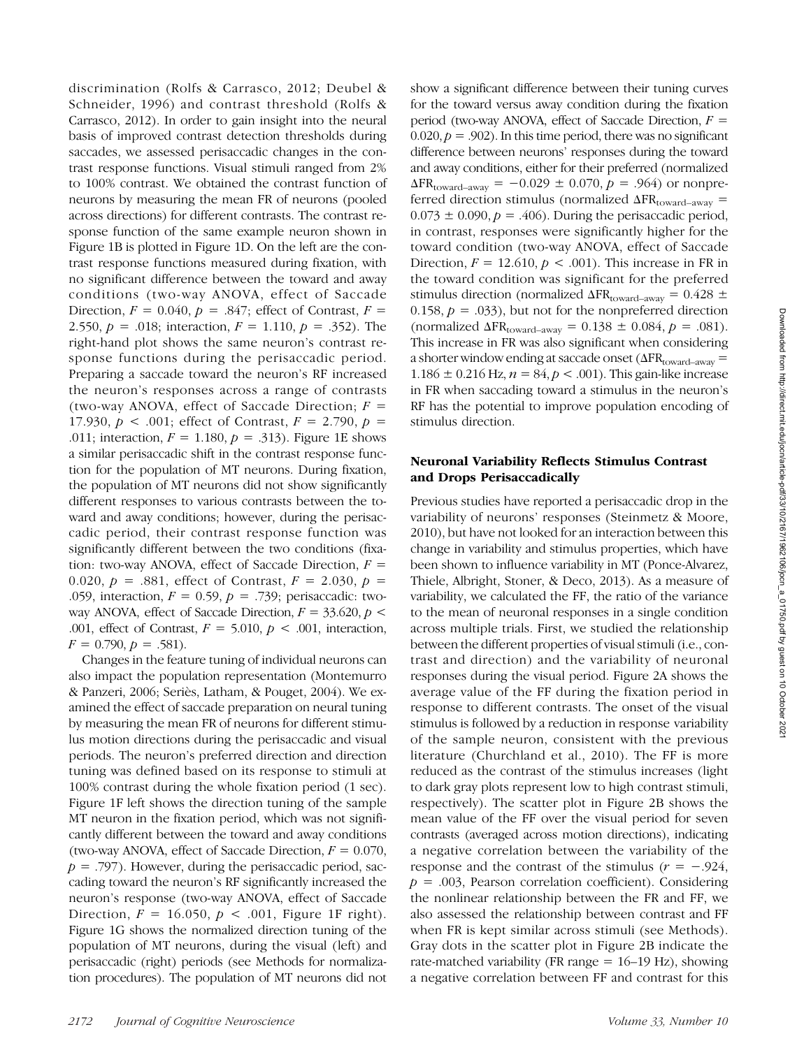discrimination (Rolfs & Carrasco, 2012; Deubel & Schneider, 1996) and contrast threshold (Rolfs & Carrasco, 2012). In order to gain insight into the neural basis of improved contrast detection thresholds during saccades, we assessed perisaccadic changes in the contrast response functions. Visual stimuli ranged from 2% to 100% contrast. We obtained the contrast function of neurons by measuring the mean FR of neurons (pooled across directions) for different contrasts. The contrast response function of the same example neuron shown in Figure 1B is plotted in Figure 1D. On the left are the contrast response functions measured during fixation, with no significant difference between the toward and away conditions (two-way ANOVA, effect of Saccade Direction,  $F = 0.040$ ,  $p = .847$ ; effect of Contrast,  $F =$ 2.550,  $p = .018$ ; interaction,  $F = 1.110$ ,  $p = .352$ ). The right-hand plot shows the same neuron's contrast response functions during the perisaccadic period. Preparing a saccade toward the neuron's RF increased the neuron's responses across a range of contrasts (two-way ANOVA, effect of Saccade Direction;  $F =$ 17.930,  $p < .001$ ; effect of Contrast,  $F = 2.790$ ,  $p =$ .011; interaction,  $F = 1.180$ ,  $p = .313$ ). Figure 1E shows a similar perisaccadic shift in the contrast response function for the population of MT neurons. During fixation, the population of MT neurons did not show significantly different responses to various contrasts between the toward and away conditions; however, during the perisaccadic period, their contrast response function was significantly different between the two conditions (fixation: two-way ANOVA, effect of Saccade Direction,  $F =$ 0.020,  $p = .881$ , effect of Contrast,  $F = 2.030$ ,  $p =$ .059, interaction,  $F = 0.59$ ,  $p = .739$ ; perisaccadic: twoway ANOVA, effect of Saccade Direction,  $F = 33.620$ ,  $p <$ .001, effect of Contrast,  $F = 5.010$ ,  $p < .001$ , interaction,  $F = 0.790, p = .581$ .

Changes in the feature tuning of individual neurons can also impact the population representation (Montemurro & Panzeri, 2006; Seriès, Latham, & Pouget, 2004). We examined the effect of saccade preparation on neural tuning by measuring the mean FR of neurons for different stimulus motion directions during the perisaccadic and visual periods. The neuron's preferred direction and direction tuning was defined based on its response to stimuli at 100% contrast during the whole fixation period (1 sec). Figure 1F left shows the direction tuning of the sample MT neuron in the fixation period, which was not significantly different between the toward and away conditions (two-way ANOVA, effect of Saccade Direction,  $F = 0.070$ ,  $p = .797$ ). However, during the perisaccadic period, saccading toward the neuron's RF significantly increased the neuron's response (two-way ANOVA, effect of Saccade Direction,  $F = 16.050$ ,  $p < .001$ , Figure 1F right). Figure 1G shows the normalized direction tuning of the population of MT neurons, during the visual (left) and perisaccadic (right) periods (see Methods for normalization procedures). The population of MT neurons did not show a significant difference between their tuning curves for the toward versus away condition during the fixation period (two-way ANOVA, effect of Saccade Direction,  $F =$  $0.020, p = .902$ ). In this time period, there was no significant difference between neurons' responses during the toward and away conditions, either for their preferred (normalized  $\Delta$ FR<sub>toward–away</sub> = -0.029 ± 0.070, p = .964) or nonpreferred direction stimulus (normalized  $\Delta FR_{\text{toward} - away}$  =  $0.073 \pm 0.090$ ,  $p = .406$ ). During the perisaccadic period, in contrast, responses were significantly higher for the toward condition (two-way ANOVA, effect of Saccade Direction,  $F = 12.610$ ,  $p < .001$ ). This increase in FR in the toward condition was significant for the preferred stimulus direction (normalized  $\Delta FR_{\text{toward} - away} = 0.428 \pm$ 0.158,  $p = .033$ ), but not for the nonpreferred direction (normalized  $\Delta$ FR<sub>toward–away</sub> = 0.138 ± 0.084,  $p = .081$ ). This increase in FR was also significant when considering a shorter window ending at saccade onset ( $\Delta FR_{\text{toward–away}} =$ 1.186  $\pm$  0.216 Hz,  $n = 84$ ,  $p < .001$ ). This gain-like increase in FR when saccading toward a stimulus in the neuron's RF has the potential to improve population encoding of stimulus direction.

## Neuronal Variability Reflects Stimulus Contrast and Drops Perisaccadically

Previous studies have reported a perisaccadic drop in the variability of neurons' responses (Steinmetz & Moore, 2010), but have not looked for an interaction between this change in variability and stimulus properties, which have been shown to influence variability in MT (Ponce-Alvarez, Thiele, Albright, Stoner, & Deco, 2013). As a measure of variability, we calculated the FF, the ratio of the variance to the mean of neuronal responses in a single condition across multiple trials. First, we studied the relationship between the different properties of visual stimuli (i.e., contrast and direction) and the variability of neuronal responses during the visual period. Figure 2A shows the average value of the FF during the fixation period in response to different contrasts. The onset of the visual stimulus is followed by a reduction in response variability of the sample neuron, consistent with the previous literature (Churchland et al., 2010). The FF is more reduced as the contrast of the stimulus increases (light to dark gray plots represent low to high contrast stimuli, respectively). The scatter plot in Figure 2B shows the mean value of the FF over the visual period for seven contrasts (averaged across motion directions), indicating a negative correlation between the variability of the response and the contrast of the stimulus ( $r = -0.924$ ,  $p = .003$ , Pearson correlation coefficient). Considering the nonlinear relationship between the FR and FF, we also assessed the relationship between contrast and FF when FR is kept similar across stimuli (see Methods). Gray dots in the scatter plot in Figure 2B indicate the rate-matched variability (FR range  $= 16-19$  Hz), showing a negative correlation between FF and contrast for this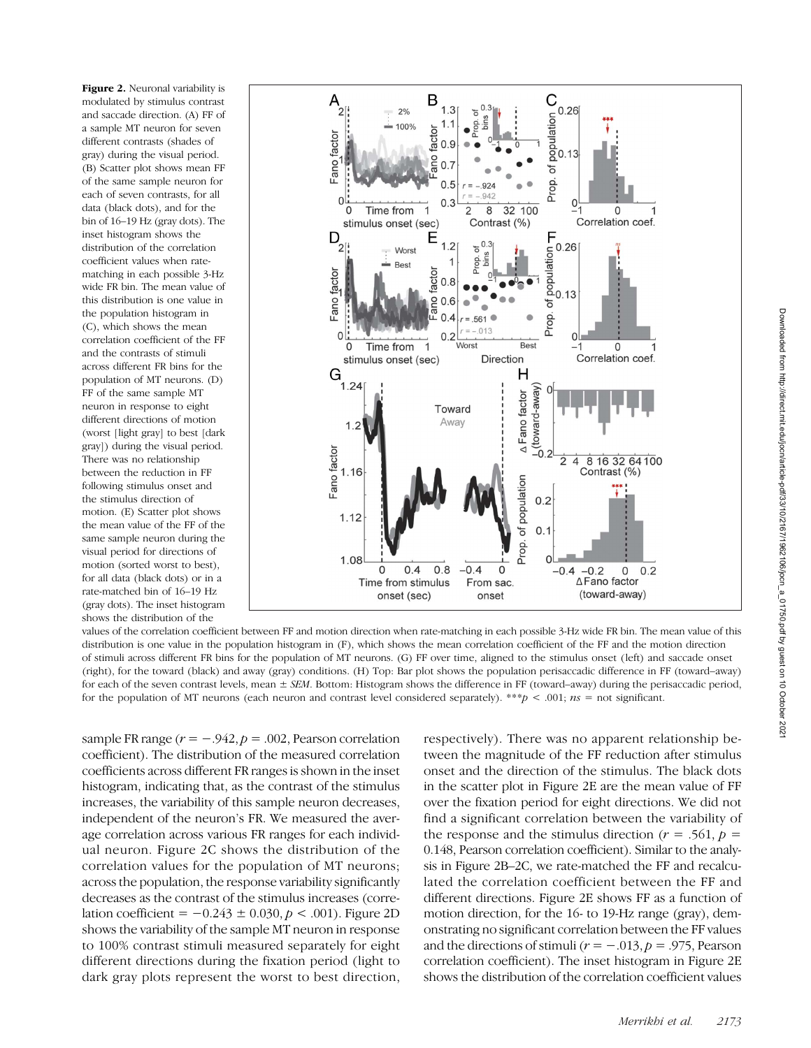Figure 2. Neuronal variability is modulated by stimulus contrast and saccade direction. (A) FF of a sample MT neuron for seven different contrasts (shades of gray) during the visual period. (B) Scatter plot shows mean FF of the same sample neuron for each of seven contrasts, for all data (black dots), and for the bin of 16–19 Hz (gray dots). The inset histogram shows the distribution of the correlation coefficient values when ratematching in each possible 3-Hz wide FR bin. The mean value of this distribution is one value in the population histogram in (C), which shows the mean correlation coefficient of the FF and the contrasts of stimuli across different FR bins for the population of MT neurons. (D) FF of the same sample MT neuron in response to eight different directions of motion (worst [light gray] to best [dark gray]) during the visual period. There was no relationship between the reduction in FF following stimulus onset and the stimulus direction of motion. (E) Scatter plot shows the mean value of the FF of the same sample neuron during the visual period for directions of motion (sorted worst to best), for all data (black dots) or in a rate-matched bin of 16–19 Hz (gray dots). The inset histogram shows the distribution of the



values of the correlation coefficient between FF and motion direction when rate-matching in each possible 3-Hz wide FR bin. The mean value of this distribution is one value in the population histogram in (F), which shows the mean correlation coefficient of the FF and the motion direction of stimuli across different FR bins for the population of MT neurons. (G) FF over time, aligned to the stimulus onset (left) and saccade onset (right), for the toward (black) and away (gray) conditions. (H) Top: Bar plot shows the population perisaccadic difference in FF (toward–away) for each of the seven contrast levels, mean  $\pm$  SEM. Bottom: Histogram shows the difference in FF (toward–away) during the perisaccadic period, for the population of MT neurons (each neuron and contrast level considered separately). \*\*\*p < .001;  $ns =$  not significant.

sample FR range  $(r = -.942, p = .002,$  Pearson correlation coefficient). The distribution of the measured correlation coefficients across different FR ranges is shown in the inset histogram, indicating that, as the contrast of the stimulus increases, the variability of this sample neuron decreases, independent of the neuron's FR. We measured the average correlation across various FR ranges for each individual neuron. Figure 2C shows the distribution of the correlation values for the population of MT neurons; across the population, the response variability significantly decreases as the contrast of the stimulus increases (correlation coefficient =  $-0.243 \pm 0.030$ ,  $p < .001$ ). Figure 2D shows the variability of the sample MT neuron in response to 100% contrast stimuli measured separately for eight different directions during the fixation period (light to dark gray plots represent the worst to best direction,

respectively). There was no apparent relationship between the magnitude of the FF reduction after stimulus onset and the direction of the stimulus. The black dots in the scatter plot in Figure 2E are the mean value of FF over the fixation period for eight directions. We did not find a significant correlation between the variability of the response and the stimulus direction ( $r = .561$ ,  $p =$ 0.148, Pearson correlation coefficient). Similar to the analysis in Figure 2B–2C, we rate-matched the FF and recalculated the correlation coefficient between the FF and different directions. Figure 2E shows FF as a function of motion direction, for the 16- to 19-Hz range (gray), demonstrating no significant correlation between the FF values and the directions of stimuli ( $r = -.013$ ,  $p = .975$ , Pearson correlation coefficient). The inset histogram in Figure 2E shows the distribution of the correlation coefficient values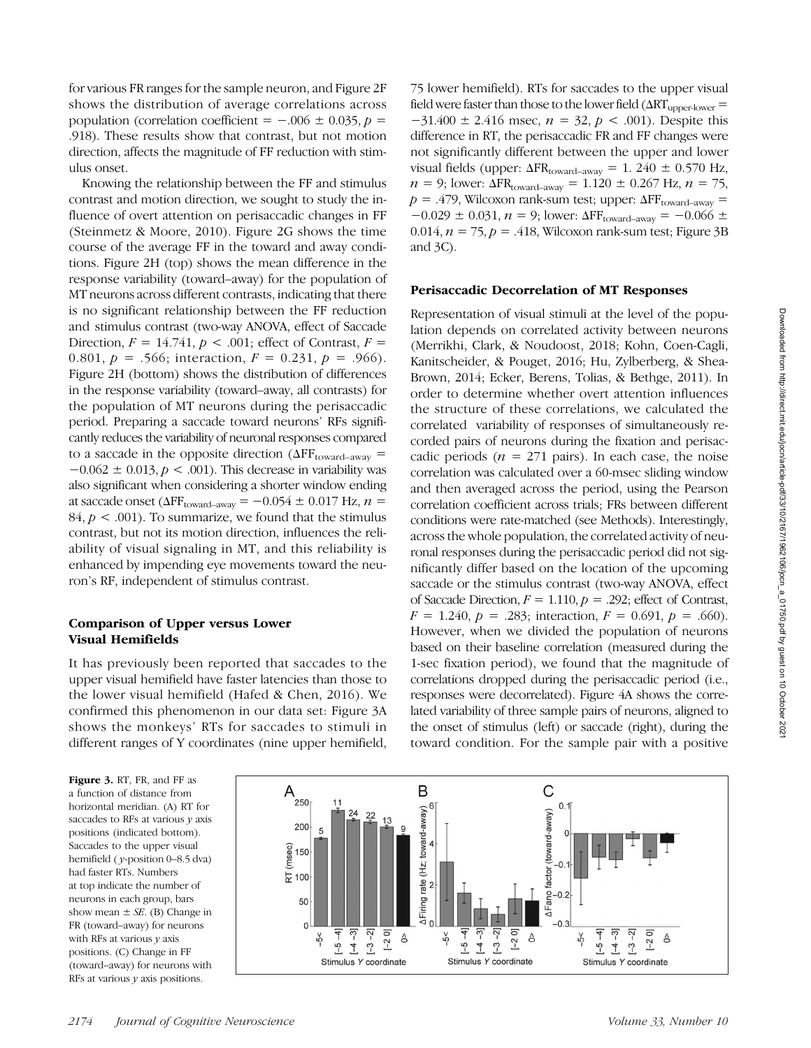for various FR ranges for the sample neuron, and Figure 2F shows the distribution of average correlations across population (correlation coefficient =  $-.006 \pm 0.035$ , p = .918). These results show that contrast, but not motion direction, affects the magnitude of FF reduction with stimulus onset.

Knowing the relationship between the FF and stimulus contrast and motion direction, we sought to study the influence of overt attention on perisaccadic changes in FF (Steinmetz & Moore, 2010). Figure 2G shows the time course of the average FF in the toward and away conditions. Figure 2H (top) shows the mean difference in the response variability (toward–away) for the population of MT neurons across different contrasts, indicating that there is no significant relationship between the FF reduction and stimulus contrast (two-way ANOVA, effect of Saccade Direction,  $F = 14.741$ ,  $p < .001$ ; effect of Contrast,  $F =$ 0.801,  $p = .566$ ; interaction,  $F = 0.231$ ,  $p = .966$ ). Figure 2H (bottom) shows the distribution of differences in the response variability (toward–away, all contrasts) for the population of MT neurons during the perisaccadic period. Preparing a saccade toward neurons' RFs significantly reduces the variability of neuronal responses compared to a saccade in the opposite direction ( $\Delta FF_{\text{toward–away}} =$  $-0.062 \pm 0.013$ ,  $p < .001$ ). This decrease in variability was also significant when considering a shorter window ending at saccade onset ( $\Delta FF_{\text{toward–away}} = -0.054 \pm 0.017$  Hz,  $n =$ 84,  $p < .001$ ). To summarize, we found that the stimulus contrast, but not its motion direction, influences the reliability of visual signaling in MT, and this reliability is enhanced by impending eye movements toward the neuron's RF, independent of stimulus contrast.

### Comparison of Upper versus Lower Visual Hemifields

It has previously been reported that saccades to the upper visual hemifield have faster latencies than those to the lower visual hemifield (Hafed & Chen, 2016). We confirmed this phenomenon in our data set: Figure 3A shows the monkeys' RTs for saccades to stimuli in different ranges of Y coordinates (nine upper hemifield,

75 lower hemifield). RTs for saccades to the upper visual field were faster than those to the lower field  $(\Delta RT_{\text{upper-lower}} =$  $-31.400 \pm 2.416$  msec,  $n = 32$ ,  $p < .001$ ). Despite this difference in RT, the perisaccadic FR and FF changes were not significantly different between the upper and lower visual fields (upper:  $\Delta FR_{\text{toward–away}} = 1.240 \pm 0.570 \text{ Hz}$ ,  $n = 9$ ; lower:  $\Delta FR_{\text{toward} - away} = 1.120 \pm 0.267 \text{ Hz}, n = 75$ ,  $p = .479$ , Wilcoxon rank-sum test; upper:  $\Delta FF_{\text{toward} - away} =$  $-0.029 \pm 0.031$ ,  $n = 9$ ; lower:  $\Delta FF_{\text{toward} - away} = -0.066 \pm 0.031$ 0.014,  $n = 75$ ,  $p = .418$ , Wilcoxon rank-sum test; Figure 3B and 3C).

#### Perisaccadic Decorrelation of MT Responses

Representation of visual stimuli at the level of the population depends on correlated activity between neurons (Merrikhi, Clark, & Noudoost, 2018; Kohn, Coen-Cagli, Kanitscheider, & Pouget, 2016; Hu, Zylberberg, & Shea-Brown, 2014; Ecker, Berens, Tolias, & Bethge, 2011). In order to determine whether overt attention influences the structure of these correlations, we calculated the correlated variability of responses of simultaneously recorded pairs of neurons during the fixation and perisaccadic periods ( $n = 271$  pairs). In each case, the noise correlation was calculated over a 60-msec sliding window and then averaged across the period, using the Pearson correlation coefficient across trials; FRs between different conditions were rate-matched (see Methods). Interestingly, across the whole population, the correlated activity of neuronal responses during the perisaccadic period did not significantly differ based on the location of the upcoming saccade or the stimulus contrast (two-way ANOVA, effect of Saccade Direction,  $F = 1.110$ ,  $p = .292$ ; effect of Contrast,  $F = 1.240, p = .283$ ; interaction,  $F = 0.691, p = .660$ ). However, when we divided the population of neurons based on their baseline correlation (measured during the 1-sec fixation period), we found that the magnitude of correlations dropped during the perisaccadic period (i.e., responses were decorrelated). Figure 4A shows the correlated variability of three sample pairs of neurons, aligned to the onset of stimulus (left) or saccade (right), during the toward condition. For the sample pair with a positive

Figure 3. RT, FR, and FF as a function of distance from horizontal meridian. (A) RT for saccades to RFs at various  $\gamma$  axis positions (indicated bottom). Saccades to the upper visual hemifield ( y-position 0–8.5 dva) had faster RTs. Numbers at top indicate the number of neurons in each group, bars show mean  $\pm$  *SE*. (B) Change in FR (toward–away) for neurons with RFs at various  $y$  axis positions. (C) Change in FF (toward–away) for neurons with RFs at various  $\nu$  axis positions.

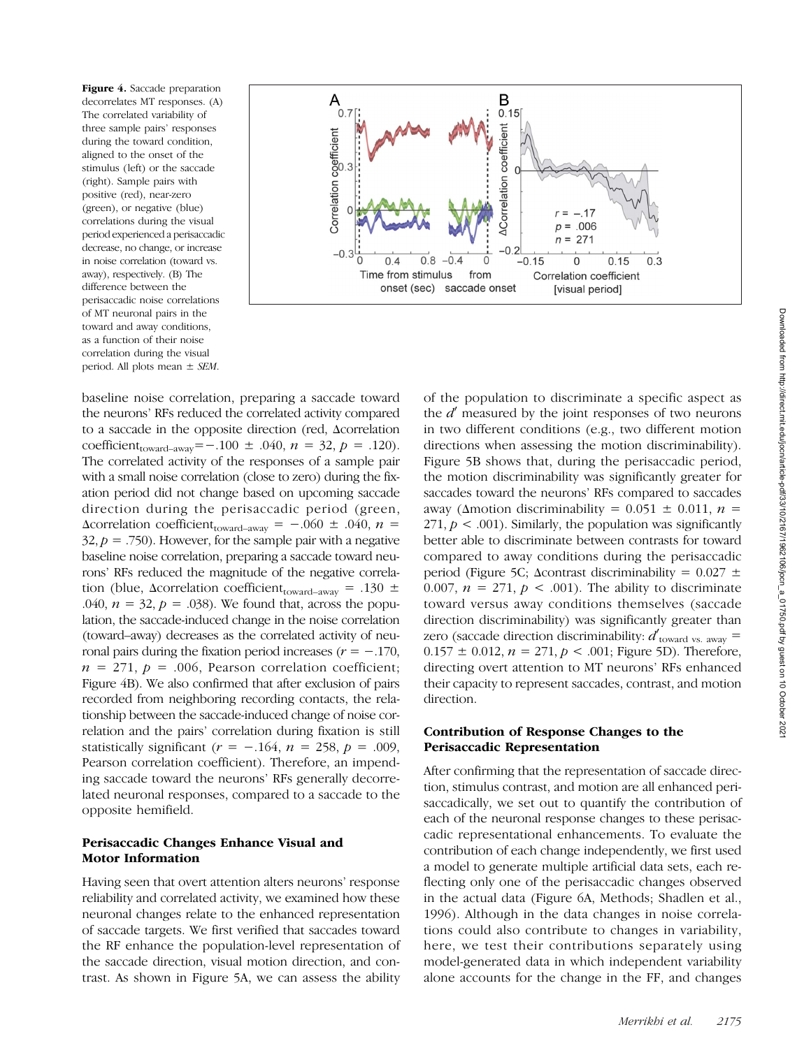Figure 4. Saccade preparation decorrelates MT responses. (A) The correlated variability of three sample pairs' responses during the toward condition, aligned to the onset of the stimulus (left) or the saccade (right). Sample pairs with positive (red), near-zero (green), or negative (blue) correlations during the visual period experienced a perisaccadic decrease, no change, or increase in noise correlation (toward vs. away), respectively. (B) The difference between the perisaccadic noise correlations of MT neuronal pairs in the toward and away conditions, as a function of their noise correlation during the visual period. All plots mean  $\pm$  *SEM*.



baseline noise correlation, preparing a saccade toward the neurons' RFs reduced the correlated activity compared to a saccade in the opposite direction (red, Δcorrelation coefficient<sub>toward–away</sub>=−.100 ± .040,  $n = 32$ ,  $p = .120$ ). The correlated activity of the responses of a sample pair with a small noise correlation (close to zero) during the fixation period did not change based on upcoming saccade direction during the perisaccadic period (green,  $\Delta$ correlation coefficient<sub>toward–away</sub> = -.060 ± .040, n =  $32, p = .750$ . However, for the sample pair with a negative baseline noise correlation, preparing a saccade toward neurons' RFs reduced the magnitude of the negative correlation (blue,  $\Delta$ correlation coefficient<sub>toward–away</sub> = .130  $\pm$ .040,  $n = 32$ ,  $p = .038$ ). We found that, across the population, the saccade-induced change in the noise correlation (toward–away) decreases as the correlated activity of neuronal pairs during the fixation period increases ( $r = -0.170$ ,  $n = 271$ ,  $p = .006$ , Pearson correlation coefficient; Figure 4B). We also confirmed that after exclusion of pairs recorded from neighboring recording contacts, the relationship between the saccade-induced change of noise correlation and the pairs' correlation during fixation is still statistically significant ( $r = -.164$ ,  $n = 258$ ,  $p = .009$ , Pearson correlation coefficient). Therefore, an impending saccade toward the neurons' RFs generally decorrelated neuronal responses, compared to a saccade to the opposite hemifield.

## Perisaccadic Changes Enhance Visual and Motor Information

Having seen that overt attention alters neurons' response reliability and correlated activity, we examined how these neuronal changes relate to the enhanced representation of saccade targets. We first verified that saccades toward the RF enhance the population-level representation of the saccade direction, visual motion direction, and contrast. As shown in Figure 5A, we can assess the ability

of the population to discriminate a specific aspect as the  $d'$  measured by the joint responses of two neurons in two different conditions (e.g., two different motion directions when assessing the motion discriminability). Figure 5B shows that, during the perisaccadic period, the motion discriminability was significantly greater for saccades toward the neurons' RFs compared to saccades away ( $\Delta$ motion discriminability = 0.051  $\pm$  0.011, n = 271,  $p < .001$ ). Similarly, the population was significantly better able to discriminate between contrasts for toward compared to away conditions during the perisaccadic period (Figure 5C; Δcontrast discriminability =  $0.027 \pm$ 0.007,  $n = 271$ ,  $p < .001$ ). The ability to discriminate toward versus away conditions themselves (saccade direction discriminability) was significantly greater than zero (saccade direction discriminability:  $d'_{\text{toward vs. away}} =$  $0.157 \pm 0.012$ ,  $n = 271$ ,  $p < .001$ ; Figure 5D). Therefore, directing overt attention to MT neurons' RFs enhanced their capacity to represent saccades, contrast, and motion direction.

## Contribution of Response Changes to the Perisaccadic Representation

After confirming that the representation of saccade direction, stimulus contrast, and motion are all enhanced perisaccadically, we set out to quantify the contribution of each of the neuronal response changes to these perisaccadic representational enhancements. To evaluate the contribution of each change independently, we first used a model to generate multiple artificial data sets, each reflecting only one of the perisaccadic changes observed in the actual data (Figure 6A, Methods; Shadlen et al., 1996). Although in the data changes in noise correlations could also contribute to changes in variability, here, we test their contributions separately using model-generated data in which independent variability alone accounts for the change in the FF, and changes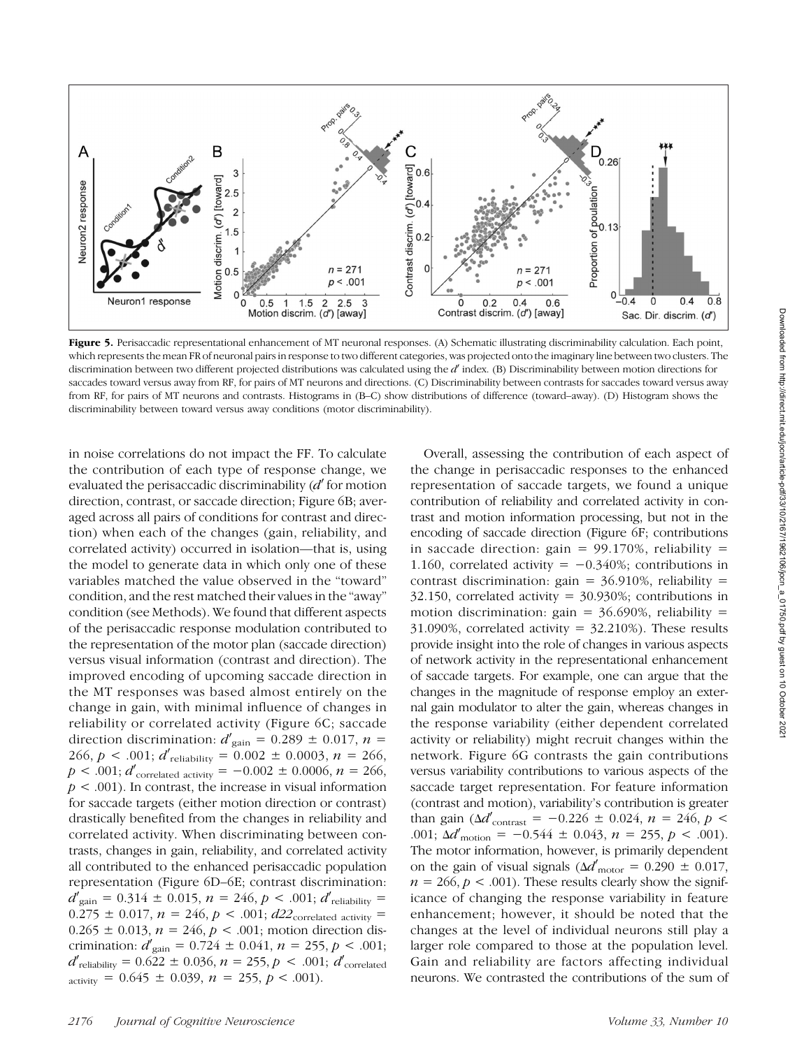

Figure 5. Perisaccadic representational enhancement of MT neuronal responses. (A) Schematic illustrating discriminability calculation. Each point, which represents the mean FR of neuronal pairs in response to two different categories, was projected onto the imaginary line between two clusters. The discrimination between two different projected distributions was calculated using the  $d'$  index. (B) Discriminability between motion directions for saccades toward versus away from RF, for pairs of MT neurons and directions. (C) Discriminability between contrasts for saccades toward versus away from RF, for pairs of MT neurons and contrasts. Histograms in (B–C) show distributions of difference (toward–away). (D) Histogram shows the discriminability between toward versus away conditions (motor discriminability).

in noise correlations do not impact the FF. To calculate the contribution of each type of response change, we evaluated the perisaccadic discriminability ( $d'$  for motion direction, contrast, or saccade direction; Figure 6B; averaged across all pairs of conditions for contrast and direction) when each of the changes (gain, reliability, and correlated activity) occurred in isolation—that is, using the model to generate data in which only one of these variables matched the value observed in the "toward" condition, and the rest matched their values in the "away" condition (see Methods). We found that different aspects of the perisaccadic response modulation contributed to the representation of the motor plan (saccade direction) versus visual information (contrast and direction). The improved encoding of upcoming saccade direction in the MT responses was based almost entirely on the change in gain, with minimal influence of changes in reliability or correlated activity (Figure 6C; saccade direction discrimination:  $d'_{\text{gain}} = 0.289 \pm 0.017$ ,  $n =$ 266,  $p < .001$ ;  $d'_{\text{reliability}} = 0.002 \pm 0.0003$ ,  $n = 266$ ,  $p < .001; d'$ <sub>correlated activity</sub> =  $-0.002 \pm 0.0006, n = 266,$  $p < .001$ ). In contrast, the increase in visual information for saccade targets (either motion direction or contrast) drastically benefited from the changes in reliability and correlated activity. When discriminating between contrasts, changes in gain, reliability, and correlated activity all contributed to the enhanced perisaccadic population representation (Figure 6D–6E; contrast discrimination:  $d'_{\text{gain}} = 0.314 \pm 0.015, n = 246, p < .001; d'_{\text{reliability}} =$ 0.275  $\pm$  0.017,  $n = 246$ ,  $p < .001$ ;  $d22$ <sub>correlated activity</sub> =  $0.265 \pm 0.013$ ,  $n = 246$ ,  $p < .001$ ; motion direction discrimination:  $d'_{\text{gain}} = 0.724 \pm 0.041$ ,  $n = 255$ ,  $p < .001$ ;  $d'_{\text{reliability}} = 0.622 \pm 0.036, n = 255, p < .001; d'_{\text{correlated}}$  $\alpha$ <sub>activity</sub> = 0.645  $\pm$  0.039, *n* = 255, *p* < .001).

Overall, assessing the contribution of each aspect of the change in perisaccadic responses to the enhanced representation of saccade targets, we found a unique contribution of reliability and correlated activity in contrast and motion information processing, but not in the encoding of saccade direction (Figure 6F; contributions in saccade direction: gain =  $99.170\%$ , reliability = 1.160, correlated activity =  $-0.340\%$ ; contributions in contrast discrimination: gain =  $36.910\%$ , reliability = 32.150, correlated activity =  $30.930\%$ ; contributions in motion discrimination: gain =  $36.690\%$ , reliability = 31.090%, correlated activity =  $32.210%$ ). These results provide insight into the role of changes in various aspects of network activity in the representational enhancement of saccade targets. For example, one can argue that the changes in the magnitude of response employ an external gain modulator to alter the gain, whereas changes in the response variability (either dependent correlated activity or reliability) might recruit changes within the network. Figure 6G contrasts the gain contributions versus variability contributions to various aspects of the saccade target representation. For feature information (contrast and motion), variability's contribution is greater than gain ( $\Delta d'_{\text{contrast}} = -0.226 \pm 0.024$ ,  $n = 246$ ,  $p <$ .001;  $\Delta d'$ <sub>motion</sub> = -0.544 ± 0.043, n = 255, p < .001). The motor information, however, is primarily dependent on the gain of visual signals ( $\Delta d'_{\rm motor} = 0.290 \pm 0.017$ ,  $n = 266$ ,  $p < .001$ ). These results clearly show the significance of changing the response variability in feature enhancement; however, it should be noted that the changes at the level of individual neurons still play a larger role compared to those at the population level. Gain and reliability are factors affecting individual neurons. We contrasted the contributions of the sum of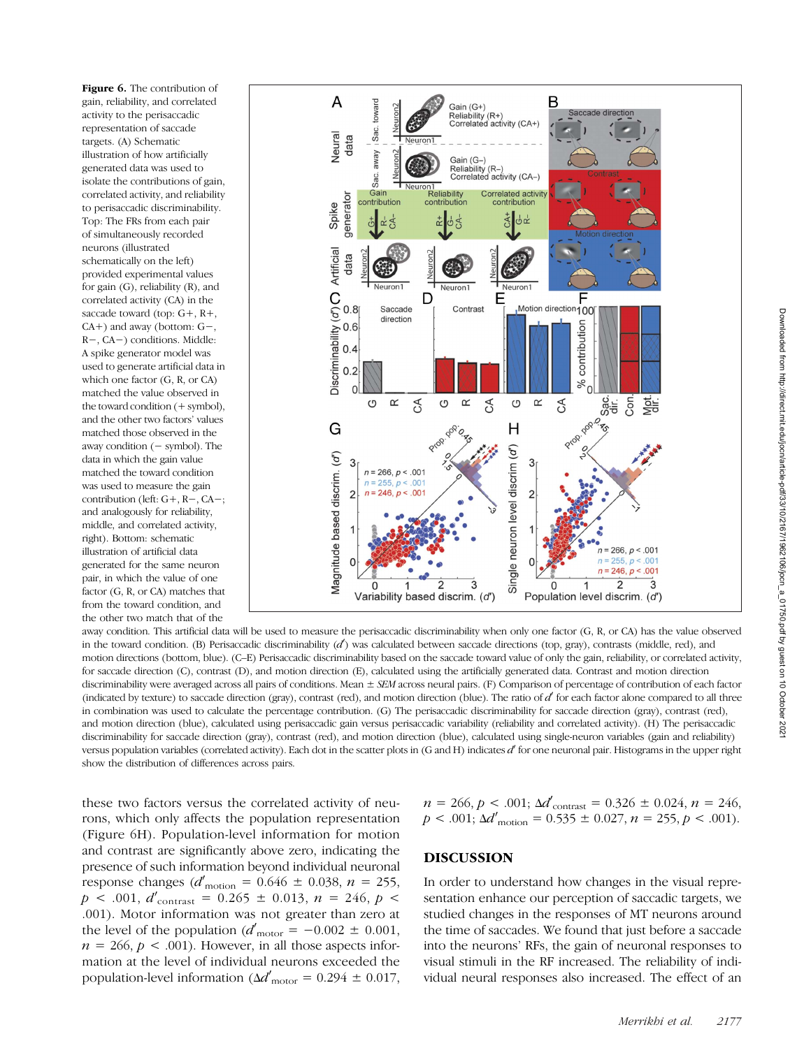Figure 6. The contribution of gain, reliability, and correlated activity to the perisaccadic representation of saccade targets. (A) Schematic illustration of how artificially generated data was used to isolate the contributions of gain, correlated activity, and reliability to perisaccadic discriminability. Top: The FRs from each pair of simultaneously recorded neurons (illustrated schematically on the left) provided experimental values for gain (G), reliability (R), and correlated activity (CA) in the saccade toward (top: G+, R+, CA+) and away (bottom: G−, R−, CA−) conditions. Middle: A spike generator model was used to generate artificial data in which one factor (G, R, or CA) matched the value observed in the toward condition (+ symbol), and the other two factors' values matched those observed in the away condition (− symbol). The data in which the gain value matched the toward condition was used to measure the gain contribution (left: G+, R−, CA−; and analogously for reliability, middle, and correlated activity, right). Bottom: schematic illustration of artificial data generated for the same neuron pair, in which the value of one factor (G, R, or CA) matches that from the toward condition, and the other two match that of the



away condition. This artificial data will be used to measure the perisaccadic discriminability when only one factor (G, R, or CA) has the value observed in the toward condition. (B) Perisaccadic discriminability  $(d)$  was calculated between saccade directions (top, gray), contrasts (middle, red), and motion directions (bottom, blue). (C–E) Perisaccadic discriminability based on the saccade toward value of only the gain, reliability, or correlated activity, for saccade direction (C), contrast (D), and motion direction (E), calculated using the artificially generated data. Contrast and motion direction discriminability were averaged across all pairs of conditions. Mean  $\pm$  SEM across neural pairs. (F) Comparison of percentage of contribution of each factor (indicated by texture) to saccade direction (gray), contrast (red), and motion direction (blue). The ratio of  $d'$  for each factor alone compared to all three in combination was used to calculate the percentage contribution. (G) The perisaccadic discriminability for saccade direction (gray), contrast (red), and motion direction (blue), calculated using perisaccadic gain versus perisaccadic variability (reliability and correlated activity). (H) The perisaccadic discriminability for saccade direction (gray), contrast (red), and motion direction (blue), calculated using single-neuron variables (gain and reliability) versus population variables (correlated activity). Each dot in the scatter plots in (G and H) indicates  $d'$  for one neuronal pair. Histograms in the upper right show the distribution of differences across pairs.

these two factors versus the correlated activity of neurons, which only affects the population representation (Figure 6H). Population-level information for motion and contrast are significantly above zero, indicating the presence of such information beyond individual neuronal response changes ( $d'_{\text{motion}} = 0.646 \pm 0.038, n = 255,$  $p$  < .001,  $d'$ <sub>contrast</sub> = 0.265  $\pm$  0.013,  $n$  = 246,  $p$  < .001). Motor information was not greater than zero at the level of the population  $(d'_{\text{motor}} = -0.002 \pm 0.001,$  $n = 266$ ,  $p < .001$ ). However, in all those aspects information at the level of individual neurons exceeded the population-level information ( $\Delta d'_{\text{motor}} = 0.294 \pm 0.017$ ,

$$
n = 266, p < .001; \Delta d'_{\text{contrast}} = 0.326 \pm 0.024, n = 246, \newline p < .001; \Delta d'_{\text{motion}} = 0.535 \pm 0.027, n = 255, p < .001).
$$

## DISCUSSION

In order to understand how changes in the visual representation enhance our perception of saccadic targets, we studied changes in the responses of MT neurons around the time of saccades. We found that just before a saccade into the neurons' RFs, the gain of neuronal responses to visual stimuli in the RF increased. The reliability of individual neural responses also increased. The effect of an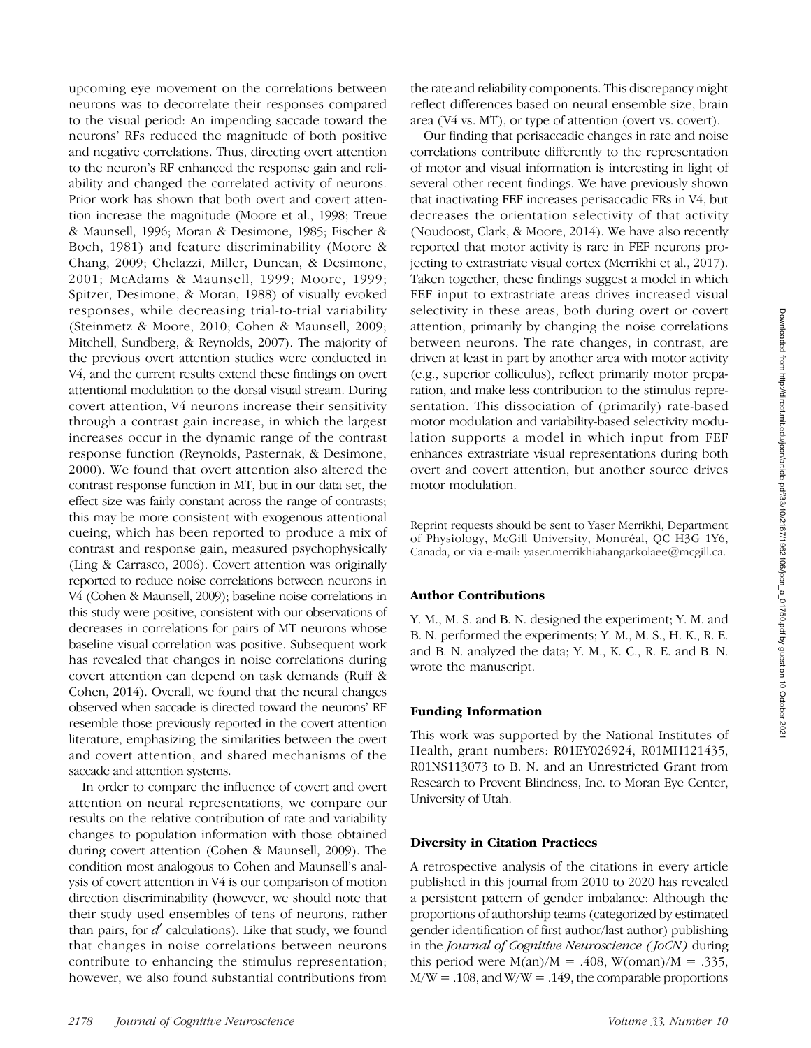upcoming eye movement on the correlations between neurons was to decorrelate their responses compared to the visual period: An impending saccade toward the neurons' RFs reduced the magnitude of both positive and negative correlations. Thus, directing overt attention to the neuron's RF enhanced the response gain and reliability and changed the correlated activity of neurons. Prior work has shown that both overt and covert attention increase the magnitude (Moore et al., 1998; Treue & Maunsell, 1996; Moran & Desimone, 1985; Fischer & Boch, 1981) and feature discriminability (Moore & Chang, 2009; Chelazzi, Miller, Duncan, & Desimone, 2001; McAdams & Maunsell, 1999; Moore, 1999; Spitzer, Desimone, & Moran, 1988) of visually evoked responses, while decreasing trial-to-trial variability (Steinmetz & Moore, 2010; Cohen & Maunsell, 2009; Mitchell, Sundberg, & Reynolds, 2007). The majority of the previous overt attention studies were conducted in V4, and the current results extend these findings on overt attentional modulation to the dorsal visual stream. During covert attention, V4 neurons increase their sensitivity through a contrast gain increase, in which the largest increases occur in the dynamic range of the contrast response function (Reynolds, Pasternak, & Desimone, 2000). We found that overt attention also altered the contrast response function in MT, but in our data set, the effect size was fairly constant across the range of contrasts; this may be more consistent with exogenous attentional cueing, which has been reported to produce a mix of contrast and response gain, measured psychophysically (Ling & Carrasco, 2006). Covert attention was originally reported to reduce noise correlations between neurons in V4 (Cohen & Maunsell, 2009); baseline noise correlations in this study were positive, consistent with our observations of decreases in correlations for pairs of MT neurons whose baseline visual correlation was positive. Subsequent work has revealed that changes in noise correlations during covert attention can depend on task demands (Ruff & Cohen, 2014). Overall, we found that the neural changes observed when saccade is directed toward the neurons' RF resemble those previously reported in the covert attention literature, emphasizing the similarities between the overt and covert attention, and shared mechanisms of the saccade and attention systems.

In order to compare the influence of covert and overt attention on neural representations, we compare our results on the relative contribution of rate and variability changes to population information with those obtained during covert attention (Cohen & Maunsell, 2009). The condition most analogous to Cohen and Maunsell's analysis of covert attention in V4 is our comparison of motion direction discriminability (however, we should note that their study used ensembles of tens of neurons, rather than pairs, for  $d'$  calculations). Like that study, we found that changes in noise correlations between neurons contribute to enhancing the stimulus representation; however, we also found substantial contributions from

the rate and reliability components. This discrepancy might reflect differences based on neural ensemble size, brain area (V4 vs. MT), or type of attention (overt vs. covert).

Our finding that perisaccadic changes in rate and noise correlations contribute differently to the representation of motor and visual information is interesting in light of several other recent findings. We have previously shown that inactivating FEF increases perisaccadic FRs in V4, but decreases the orientation selectivity of that activity (Noudoost, Clark, & Moore, 2014). We have also recently reported that motor activity is rare in FEF neurons projecting to extrastriate visual cortex (Merrikhi et al., 2017). Taken together, these findings suggest a model in which FEF input to extrastriate areas drives increased visual selectivity in these areas, both during overt or covert attention, primarily by changing the noise correlations between neurons. The rate changes, in contrast, are driven at least in part by another area with motor activity (e.g., superior colliculus), reflect primarily motor preparation, and make less contribution to the stimulus representation. This dissociation of (primarily) rate-based motor modulation and variability-based selectivity modulation supports a model in which input from FEF enhances extrastriate visual representations during both overt and covert attention, but another source drives motor modulation.

Reprint requests should be sent to Yaser Merrikhi, Department of Physiology, McGill University, Montréal, QC H3G 1Y6, Canada, or via e-mail: [yaser.merrikhiahangarkolaee@mcgill.ca](mailto:yaser.merrikhiahangarkolaee@mcgill.ca).

## Author Contributions

Y. M., M. S. and B. N. designed the experiment; Y. M. and B. N. performed the experiments; Y. M., M. S., H. K., R. E. and B. N. analyzed the data; Y. M., K. C., R. E. and B. N. wrote the manuscript.

#### Funding Information

This work was supported by the National Institutes of Health, grant numbers: R01EY026924, R01MH121435, R01NS113073 to B. N. and an Unrestricted Grant from Research to Prevent Blindness, Inc. to Moran Eye Center, University of Utah.

#### Diversity in Citation Practices

A retrospective analysis of the citations in every article published in this journal from 2010 to 2020 has revealed a persistent pattern of gender imbalance: Although the proportions of authorship teams (categorized by estimated gender identification of first author/last author) publishing in the *Journal of Cognitive Neuroscience* (*JoCN*) during this period were  $M(an)/M = .408$ ,  $W(oman)/M = .335$ ,  $M/W = .108$ , and  $W/W = .149$ , the comparable proportions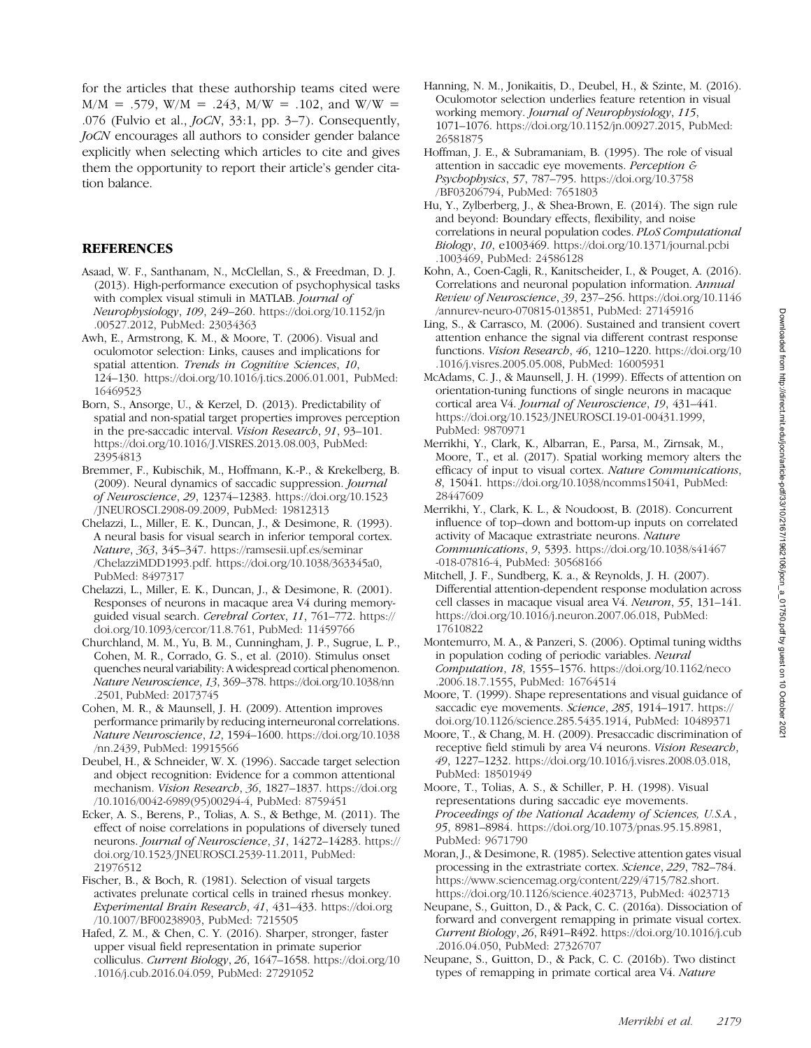for the articles that these authorship teams cited were  $M/M = .579$ , W/M = .243, M/W = .102, and W/W = .076 (Fulvio et al., JoCN, 33:1, pp. 3–7). Consequently, JoCN encourages all authors to consider gender balance explicitly when selecting which articles to cite and gives them the opportunity to report their article's gender citation balance.

#### **REFERENCES**

- Asaad, W. F., Santhanam, N., McClellan, S., & Freedman, D. J. (2013). High-performance execution of psychophysical tasks with complex visual stimuli in MATLAB. Journal of Neurophysiology, 109, 249–260. [https://doi.org/10.1152/jn](https://doi.org/10.1152/jn.00527.2012) [.00527.2012,](https://doi.org/10.1152/jn.00527.2012) PubMed: [23034363](https://pubmed.ncbi.nlm.nih.gov/23034363)
- Awh, E., Armstrong, K. M., & Moore, T. (2006). Visual and oculomotor selection: Links, causes and implications for spatial attention. Trends in Cognitive Sciences, 10, 124–130. [https://doi.org/10.1016/j.tics.2006.01.001,](https://doi.org/10.1016/j.tics.2006.01.001) PubMed: [16469523](https://pubmed.ncbi.nlm.nih.gov/16469523)
- Born, S., Ansorge, U., & Kerzel, D. (2013). Predictability of spatial and non-spatial target properties improves perception in the pre-saccadic interval. Vision Research, 91, 93–101. https://doi.org/10.1016/J.VISRES.2013.08.003, PubMed: [23954813](https://pubmed.ncbi.nlm.nih.gov/23954813)
- Bremmer, F., Kubischik, M., Hoffmann, K.-P., & Krekelberg, B. (2009). Neural dynamics of saccadic suppression. Journal of Neuroscience, 29, 12374–12383. [https://doi.org/10.1523](https://doi.org/10.1523/JNEUROSCI.2908-09.2009) [/ JNEUROSCI.2908-09.2009](https://doi.org/10.1523/JNEUROSCI.2908-09.2009), PubMed: [19812313](https://pubmed.ncbi.nlm.nih.gov/19812313)
- Chelazzi, L., Miller, E. K., Duncan, J., & Desimone, R. (1993). A neural basis for visual search in inferior temporal cortex. Nature, 363, 345–347. [https://ramsesii.upf.es/seminar](http://ramsesii.upf.es/seminar/ChelazziMDD1993.pdf) [/ChelazziMDD1993.pdf.](http://ramsesii.upf.es/seminar/ChelazziMDD1993.pdf) <https://doi.org/10.1038/363345a0>, PubMed: [8497317](https://pubmed.ncbi.nlm.nih.gov/8497317)
- Chelazzi, L., Miller, E. K., Duncan, J., & Desimone, R. (2001). Responses of neurons in macaque area V4 during memoryguided visual search. Cerebral Cortex, 11, 761-772. [https://](https://doi.org/10.1093/cercor/11.8.761) [doi.org/10.1093/cercor/11.8.761](https://doi.org/10.1093/cercor/11.8.761), PubMed: [11459766](https://pubmed.ncbi.nlm.nih.gov/11459766)
- Churchland, M. M., Yu, B. M., Cunningham, J. P., Sugrue, L. P., Cohen, M. R., Corrado, G. S., et al. (2010). Stimulus onset quenches neural variability: A widespread cortical phenomenon. Nature Neuroscience, 13, 369–378. [https://doi.org/10.1038/nn](https://doi.org/10.1038/nn.2501) [.2501,](https://doi.org/10.1038/nn.2501) PubMed: [20173745](https://pubmed.ncbi.nlm.nih.gov/20173745)
- Cohen, M. R., & Maunsell, J. H. (2009). Attention improves performance primarily by reducing interneuronal correlations. Nature Neuroscience, 12, 1594–1600. [https://doi.org/10.1038](https://pubmed.ncbi.nlm.nih.gov/3353728) [/nn.2439,](https://pubmed.ncbi.nlm.nih.gov/3353728) PubMed: [19915566](https://pubmed.ncbi.nlm.nih.gov/19915566)
- Deubel, H., & Schneider, W. X. (1996). Saccade target selection and object recognition: Evidence for a common attentional mechanism. Vision Research, 36, 1827–1837. [https://doi.org](https://doi.org/10.1016/0042-6989(95)00294-4) [/10.1016/0042-6989\(95\)00294-4,](https://doi.org/10.1016/0042-6989(95)00294-4) PubMed: [8759451](https://pubmed.ncbi.nlm.nih.gov/8759451)
- Ecker, A. S., Berens, P., Tolias, A. S., & Bethge, M. (2011). The effect of noise correlations in populations of diversely tuned neurons. Journal of Neuroscience, 31, 14272–14283. [https://](https://doi.org/10.1523/JNEUROSCI.2539-11.2011) [doi.org/10.1523/ JNEUROSCI.2539-11.2011,](https://doi.org/10.1523/JNEUROSCI.2539-11.2011) PubMed: [21976512](https://pubmed.ncbi.nlm.nih.gov/21976512)
- Fischer, B., & Boch, R. (1981). Selection of visual targets activates prelunate cortical cells in trained rhesus monkey. Experimental Brain Research, 41, 431–433. [https://doi.org](https://doi.org/10.1007/BF00238903) [/10.1007/BF00238903,](https://doi.org/10.1007/BF00238903) PubMed: [7215505](https://pubmed.ncbi.nlm.nih.gov/7215505)
- Hafed, Z. M., & Chen, C. Y. (2016). Sharper, stronger, faster upper visual field representation in primate superior colliculus. Current Biology, 26, 1647–1658. [https://doi.org/10](https://doi.org/10.1016/j.cub.2016.04.059) [.1016/j.cub.2016.04.059](https://doi.org/10.1016/j.cub.2016.04.059), PubMed: [27291052](https://pubmed.ncbi.nlm.nih.gov/27291052)
- Hanning, N. M., Jonikaitis, D., Deubel, H., & Szinte, M. (2016). Oculomotor selection underlies feature retention in visual working memory. Journal of Neurophysiology, 115, 1071–1076. [https://doi.org/10.1152/jn.00927.2015,](https://doi.org/10.1152/jn.00927.2015) PubMed: [26581875](https://pubmed.ncbi.nlm.nih.gov/26581875)
- Hoffman, J. E., & Subramaniam, B. (1995). The role of visual attention in saccadic eye movements. Perception & Psychophysics, 57, 787–795. [https://doi.org/10.3758](https://doi.org/10.3758/BF03206794) [/BF03206794](https://doi.org/10.3758/BF03206794), PubMed: [7651803](https://pubmed.ncbi.nlm.nih.gov/7651803)
- Hu, Y., Zylberberg, J., & Shea-Brown, E. (2014). The sign rule and beyond: Boundary effects, flexibility, and noise correlations in neural population codes. PLoS Computational Biology, 10, e1003469. [https://doi.org/10.1371/journal.pcbi](https://doi.org/10.1371/journal.pcbi.1003469) [.1003469,](https://doi.org/10.1371/journal.pcbi.1003469) PubMed: [24586128](https://pubmed.ncbi.nlm.nih.gov/24586128)
- Kohn, A., Coen-Cagli, R., Kanitscheider, I., & Pouget, A. (2016). Correlations and neuronal population information. Annual Review of Neuroscience, 39, 237–256. [https://doi.org/10.1146](https://doi.org/10.1146/annurev-neuro-070815-013851) [/annurev-neuro-070815-013851](https://doi.org/10.1146/annurev-neuro-070815-013851), PubMed: [27145916](https://pubmed.ncbi.nlm.nih.gov/27145916)
- Ling, S., & Carrasco, M. (2006). Sustained and transient covert attention enhance the signal via different contrast response functions. Vision Research, 46, 1210–1220. [https://doi.org/10](https://doi.org/10.1016/j.visres.2005.05.008) [.1016/j.visres.2005.05.008](https://doi.org/10.1016/j.visres.2005.05.008), PubMed: [16005931](https://pubmed.ncbi.nlm.nih.gov/16005931)
- McAdams, C. J., & Maunsell, J. H. (1999). Effects of attention on orientation-tuning functions of single neurons in macaque cortical area V4. Journal of Neuroscience, 19, 431–441. [https://doi.org/10.1523/ JNEUROSCI.19-01-00431.1999](https://doi.org/10.1523/JNEUROSCI.19-01-00431.1999), PubMed: [9870971](https://pubmed.ncbi.nlm.nih.gov/9870971)
- Merrikhi, Y., Clark, K., Albarran, E., Parsa, M., Zirnsak, M., Moore, T., et al. (2017). Spatial working memory alters the efficacy of input to visual cortex. Nature Communications, 8, 15041. [https://doi.org/10.1038/ncomms15041,](https://doi.org/10.1038/ncomms15041) PubMed: [28447609](https://pubmed.ncbi.nlm.nih.gov/28447609)
- Merrikhi, Y., Clark, K. L., & Noudoost, B. (2018). Concurrent influence of top–down and bottom-up inputs on correlated activity of Macaque extrastriate neurons. Nature Communications, 9, 5393. [https://doi.org/10.1038/s41467](https://doi.org/10.1038/s41467-018-07816-4) [-018-07816-4,](https://doi.org/10.1038/s41467-018-07816-4) PubMed: [30568166](https://pubmed.ncbi.nlm.nih.gov/30568166)
- Mitchell, J. F., Sundberg, K. a., & Reynolds, J. H. (2007). Differential attention-dependent response modulation across cell classes in macaque visual area V4. Neuron, 55, 131–141. <https://doi.org/10.1016/j.neuron.2007.06.018>, PubMed: [17610822](https://pubmed.ncbi.nlm.nih.gov/17610822)
- Montemurro, M. A., & Panzeri, S. (2006). Optimal tuning widths in population coding of periodic variables. Neural Computation, 18, 1555–1576. [https://doi.org/10.1162/neco](https://doi.org/10.1162/neco.2006.18.7.1555) [.2006.18.7.1555](https://doi.org/10.1162/neco.2006.18.7.1555), PubMed: [16764514](https://pubmed.ncbi.nlm.nih.gov/16764514)
- Moore, T. (1999). Shape representations and visual guidance of saccadic eye movements. Science, 285, 1914–1917. [https://](https://doi.org/10.1126/science.285.5435.1914) [doi.org/10.1126/science.285.5435.1914](https://doi.org/10.1126/science.285.5435.1914), PubMed: [10489371](https://pubmed.ncbi.nlm.nih.gov/10489371)
- Moore, T., & Chang, M. H. (2009). Presaccadic discrimination of receptive field stimuli by area V4 neurons. Vision Research, 49, 1227–1232. [https://doi.org/10.1016/j.visres.2008.03.018,](https://doi.org/10.1016/j.visres.2008.03.018) PubMed: [18501949](https://pubmed.ncbi.nlm.nih.gov/18501949)
- Moore, T., Tolias, A. S., & Schiller, P. H. (1998). Visual representations during saccadic eye movements. Proceedings of the National Academy of Sciences, U.S.A., 95, 8981–8984. [https://doi.org/10.1073/pnas.95.15.8981,](https://doi.org/10.1073/pnas.95.15.8981) PubMed: [9671790](https://pubmed.ncbi.nlm.nih.gov/9671790)
- Moran, J., & Desimone, R. (1985). Selective attention gates visual processing in the extrastriate cortex. Science, 229, 782–784. [https://www.sciencemag.org/content/229/4715/782.short](http://www.sciencemag.org/content/229/4715/782.short). <https://doi.org/10.1126/science.4023713>, PubMed: [4023713](https://pubmed.ncbi.nlm.nih.gov/4023713)
- Neupane, S., Guitton, D., & Pack, C. C. (2016a). Dissociation of forward and convergent remapping in primate visual cortex. Current Biology, 26, R491–R492. [https://doi.org/10.1016/j.cub](https://doi.org/10.1016/j.cub.2016.04.050) [.2016.04.050](https://doi.org/10.1016/j.cub.2016.04.050), PubMed: [27326707](https://pubmed.ncbi.nlm.nih.gov/27326707)
- Neupane, S., Guitton, D., & Pack, C. C. (2016b). Two distinct types of remapping in primate cortical area V4. Nature